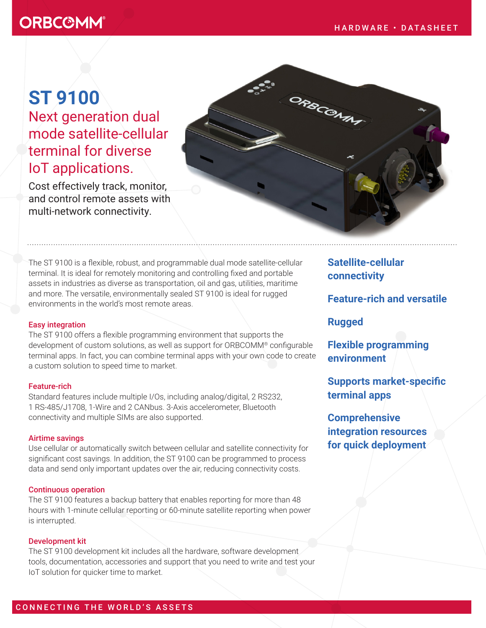# **ORBC@MM®**

# **ST 9100**  Next generation dual mode satellite-cellular terminal for diverse IoT applications.

Cost effectively track, monitor, and control remote assets with multi-network connectivity.

The ST 9100 is a flexible, robust, and programmable dual mode satellite-cellular terminal. It is ideal for remotely monitoring and controlling fixed and portable assets in industries as diverse as transportation, oil and gas, utilities, maritime and more. The versatile, environmentally sealed ST 9100 is ideal for rugged environments in the world's most remote areas.

#### Easy integration

The ST 9100 offers a flexible programming environment that supports the development of custom solutions, as well as support for ORBCOMM® configurable terminal apps. In fact, you can combine terminal apps with your own code to create a custom solution to speed time to market.

#### Feature-rich

Standard features include multiple I/Os, including analog/digital, 2 RS232, 1 RS-485/J1708, 1-Wire and 2 CANbus. 3-Axis accelerometer, Bluetooth connectivity and multiple SIMs are also supported.

#### Airtime savings

Use cellular or automatically switch between cellular and satellite connectivity for significant cost savings. In addition, the ST 9100 can be programmed to process data and send only important updates over the air, reducing connectivity costs.

## Continuous operation

The ST 9100 features a backup battery that enables reporting for more than 48 hours with 1-minute cellular reporting or 60-minute satellite reporting when power is interrupted.

## Development kit

The ST 9100 development kit includes all the hardware, software development tools, documentation, accessories and support that you need to write and test your IoT solution for quicker time to market.

**Satellite-cellular connectivity**

**Feature-rich and versatile**

## **Rugged**

ORBCCMM

**Flexible programming environment**

**Supports market-specific terminal apps**

**Comprehensive integration resources for quick deployment**